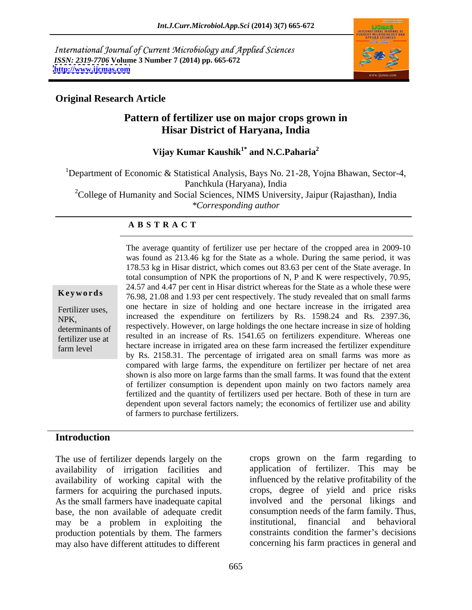International Journal of Current Microbiology and Applied Sciences *ISSN: 2319-7706* **Volume 3 Number 7 (2014) pp. 665-672 <http://www.ijcmas.com>**



### **Original Research Article**

# **Pattern of fertilizer use on major crops grown in Hisar District of Haryana, India**

**Vijay Kumar Kaushik<sup>1\*</sup> and N.C.Paharia<sup>2</sup> and N.C.Paharia<sup>2</sup>**

<sup>1</sup>Department of Economic & Statistical Analysis, Bays No. 21-28, Yojna Bhawan, Sector-4, Panchkula (Haryana), India <sup>2</sup>College of Humanity and Social Sciences, NIMS University, Jaipur (Rajasthan), India *\*Corresponding author* 

### **A B S T R A C T**

**Keywords** 76.98, 21.08 and 1.93 per cent respectively. The study revealed that on small farms Fertilizer uses, the necture in size of notaing and one necture increase in the irrigated area NPK, increased the expenditure on fertilizers by Rs. 1598.24 and Rs. 2397.36, determinants of respectively. However, on large holdings the one hectare increase in size of holding determinants fertilizer use at resulted in an increase of Rs. 1541.65 on fertilizers expenditure. Whereas one farm level hectare increase in irrigated area on these farm increased the fertilizer expenditure The average quantity of fertilizer use per hectare of the cropped area in 2009-10 was found as 213.46 kg for the State as a whole. During the same period, it was 178.53 kg in Hisar district, which comes out 83.63 per cent of the State average. In total consumption of NPK the proportions of N, P and K were respectively, 70.95, 24.57 and 4.47 per cent in Hisar district whereas for the State as a whole these were one hectare in size of holding and one hectare increase in the irrigated area by Rs. 2158.31. The percentage of irrigated area on small farms was more as compared with large farms, the expenditure on fertilizer per hectare of net area shown is also more on large farms than the small farms. It was found that the extent of fertilizer consumption is dependent upon mainly on two factors namely area fertilized and the quantity of fertilizers used per hectare. Both of these in turn are dependent upon several factors namely; the economics of fertilizer use and ability of farmers to purchase fertilizers.

### **Introduction**

The use of fertilizer depends largely on the availability of irrigation facilities and availability of working capital with the farmers for acquiring the purchased inputs. As the small farmers have inadequate capital involved and the personal likings and base, the non available of adequate credit consumption needs of the farm family. Thus,<br>may be a problem in exploiting the institutional, financial and behavioral may be a problem in exploiting the production potentials by them. The farmers may also have different attitudes to different

crops grown on the farm regarding to application of fertilizer. This may be influenced by the relative profitability of the crops, degree of yield and price risks consumption needs of the farm family. Thus, institutional, financial and behavioral constraints condition the farmer's decisions concerning his farm practices in general and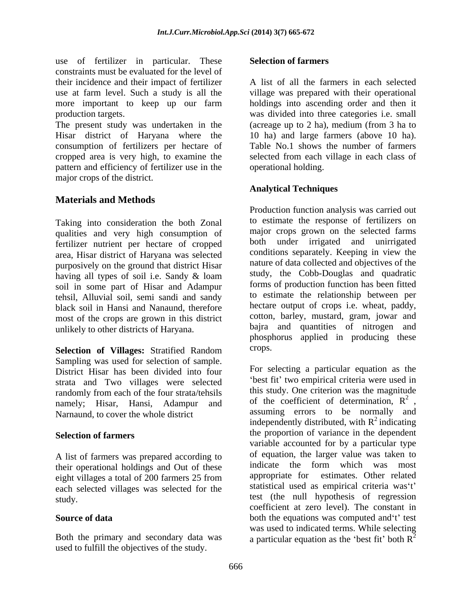use of fertilizer in particular. These constraints must be evaluated for the level of their incidence and their impact of fertilizer use at farm level. Such a study is all the village was prepared with their operational more important to keep up our farm holdings into ascending order and then it

The present study was undertaken in the (acreage up to 2 ha), medium (from 3 ha to Hisar district of Haryana where the 10 ha) and large farmers (above10 ha). consumption of fertilizers per hectare of cropped area is very high, to examine the pattern and efficiency of fertilizer use in the major crops of the district.

# **Materials and Methods**

Taking into consideration the both Zonal qualities and very high consumption of fertilizer nutrient per hectare of cropped area, Hisar district of Haryana was selected purposively on the ground that district Hisar having all types of soil i.e. Sandy & loam soil in some part of Hisar and Adampur tehsil, Alluvial soil, semi sandi and sandy black soil in Hansi and Nanaund, therefore most of the crops are grown in this district unlikely to other districts of Haryana.

**Selection of Villages:** Stratified Random Sampling was used for selection of sample. District Hisar has been divided into four strata and Two villages were selected randomly from each of the four strata/tehsils namely; Hisar, Hansi, Adampur and of the coefficient of determination,  $R^2$ , Narnaund to cover the whole district assuming errors to be normally and Narnaund, to cover the whole district

A list of farmers was prepared according to their operational holdings and Out of these indicate the form which was most<br>eight villages a total of 200 formers 25 from appropriate for estimates. Other related eight villages a total of 200 farmers 25 from each selected villages was selected for the

Both the primary and secondary data was a particular equation as the 'best fit' both  $R^2$ used to fulfill the objectives of the study.

### **Selection of farmers**

production targets. was divided into three categories i.e. small A list of all the farmers in each selected Table No.1 shows the number of farmers selected from each village in each class of operational holding.

# **Analytical Techniques**

Production function analysis was carried out to estimate the response of fertilizers on major crops grown on the selected farms both under irrigated and unirrigated conditions separately. Keeping in view the nature of data collected and objectives of the study, the Cobb-Douglas and quadratic forms of production function has been fitted to estimate the relationship between per hectare output of crops i.e. wheat, paddy, cotton, barley, mustard, gram, jowar and bajra and quantities of nitrogen and phosphorus applied in producing these crops.

**Selection of farmers** the proportion of variance in the dependent study. test (the null hypothesis of regression **Source of data** both the equations was computed and t t test For selecting a particular equation as the best fit' two empirical criteria were used in this study. One criterion was the magnitude of the coefficient of determination,  $R^2$ , 2 of the coefficient of determination,  $R^2$ , assuming errors to be normally and independently distributed, with  $R^2$  indicating  $2$  indicating variable accounted for by a particular type of equation, the larger value was taken to indicate the form which was most appropriate for estimates. Other related statistical used as empirical criteria was't' coefficient at zero level). The constant in was used to indicated terms. While selecting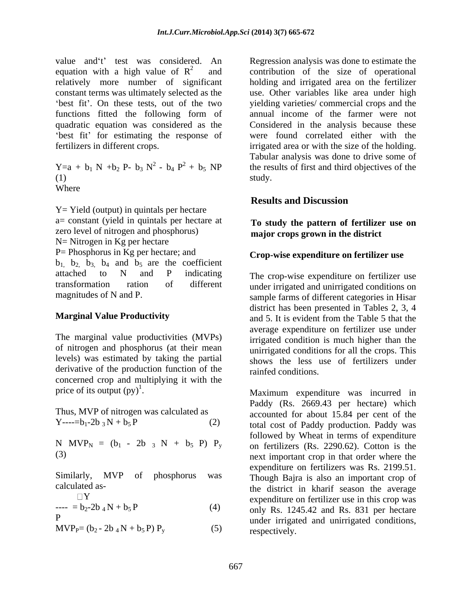value and 't' test was considered. An equation with a high value of  $R^2$  and contribution of the size of operational relatively more number of significant holding and irrigated area on the fertilizer constant terms was ultimately selected as the use. Other variables like area under high functions fitted the following form of annual income of the farmer were not quadratic equation was considered as the Considered in the analysis because these fertilizers in different crops. irrigated area or with the size of the holding.

 $\text{study.}$ Where **the contract of the contract of the contract of the contract of the contract of the contract of the contract of the contract of the contract of the contract of the contract of the contract of the contract of the con** 

Y= Yield (output) in quintals per hectare a= constant (yield in quintals per hectare at zero level of nitrogen and phosphorus) N= Nitrogen in Kg per hectare P= Phosphorus in Kg per hectare; and  $b_1$ ,  $b_2$ ,  $b_3$ ,  $b_4$  and  $b_5$  are the coefficient attached to N and P indicating The cron-wise expenditure on fertilizer use transformation ration of different under irrigated and unirrigated conditions on

The marginal value productivities (MVPs) of nitrogen and phosphorus (at their mean levels) was estimated by taking the partial derivative of the production function of the concerned crop and multiplying it with the price of its output  $(py)^1$ . Maximum expenditure was incurred in

$$
I = b_2 - 2b_4 N + b_5 P
$$
 (4)

 $MVP<sub>P</sub>=(b<sub>2</sub> - 2b<sub>4</sub>N + b<sub>5</sub>P) P<sub>v</sub>$  (5)

best fit'. On these tests, out of the two yielding varieties/ commercial crops and the best fit' for estimating the response of were found correlated either with the  $Y=a + b_1 N + b_2 P - b_3 N^2 - b_4 P^2 + b_5 NP$  the results of first and third objectives of the Regression analysis was done to estimate the Tabular analysis was done to drive some of study.

# **Results and Discussion**

### **To study the pattern of fertilizer use on major crops grown in the district**

### **Crop-wise expenditure on fertilizer use**

magnitudes of N and P. sample farms of different categories in Hisar **Marginal Value Productivity** and 5. It is evident from the Table 5 that the The crop-wise expenditure on fertilizer use district has been presented in Tables 2, 3, 4 average expenditure on fertilizer use under irrigated condition is much higher than the unirrigated conditions for all the crops. This shows the less use of fertilizers under rainfed conditions.

price of its output (py)<sup>1</sup>.<br>
Maximum expenditure was incurred in<br>
Paddy (Rs. 2669.43 per hectare) which<br>
accounted for about 15.84 per cent of the Y----=b<sub>1</sub>-2b <sub>3</sub> N + b<sub>5</sub> P (2) total cost of Paddy production. Paddy was<br>
N MVP<sub>N</sub> = (b<sub>1</sub> - 2b 3 N + b<sub>5</sub> P) P<sub>y</sub> on fertilizers (Rs. 2290.62). Cotton is the<br>
(3) Similarly, MVP of phosphorus was Though Bajra is also an important crop of calculated as- the district in kharif season the average  $\Box Y$  expenditure on fertilizer use in this crop was  $\frac{1}{2}$  = b<sub>2</sub>-2b<sub>4</sub>N + b<sub>5</sub>P (4) (4) only Rs. 1245.42 and Rs. 831 per hectare p
inter irrigated and unirrigated conditions, Paddy (Rs. 2669.43 per hectare) which accounted for about 15.84 per cent of the total cost of Paddy production. Paddy was followed by Wheat in terms of expenditure on fertilizers (Rs. 2290.62). Cotton is the next important crop in that order where the expenditure on fertilizers was Rs. 2199.51. respectively.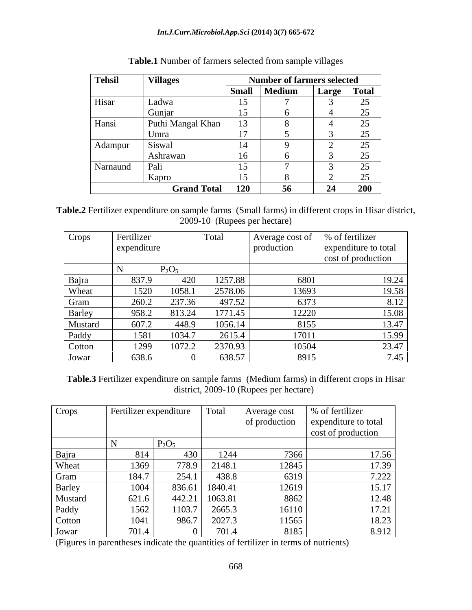### *Int.J.Curr.Microbiol.App.Sci* **(2014) 3(7) 665-672**

| <b>Tehsil</b> | <b>Villages</b>    |              | <b>Number of farmers selected</b> |       |                          |
|---------------|--------------------|--------------|-----------------------------------|-------|--------------------------|
|               |                    | <b>Small</b> | Medium                            | Large | <b>Total</b>             |
| Hisar         | Ladw <sub>2</sub>  | 15           |                                   |       | $\sim$<br>سد             |
|               | Gunjar             | 15           |                                   |       | ت                        |
| Hansi         | Puthi Mangal Khan  | 13           |                                   |       | $\sim$ $\sim$<br>ں∠      |
|               | Umra               | 17           |                                   |       |                          |
| Adampur       | Siswal             | 14           |                                   |       | $\sim$ $-$               |
|               | Ashrawan           | 16           |                                   |       | $\overline{\phantom{m}}$ |
| Narnaund      | Pali               | 15           |                                   |       | $\overline{\phantom{m}}$ |
|               | Kapro              | 15           |                                   |       | ں کے                     |
|               | <b>Grand Total</b> | 120          | -56                               | 24    | <b>200</b>               |

**Table.1** Number of farmers selected from sample villages

**Table.2** Fertilizer expenditure on sample farms (Small farms) in different crops in Hisar district, 2009-10 (Rupees per hectare)

| Crops   | Fertilizer  |          | Total   | Average cost of | % of fertilizer      |
|---------|-------------|----------|---------|-----------------|----------------------|
|         | expenditure |          |         | production      | expenditure to total |
|         |             |          |         |                 | cost of production   |
|         |             | $P_2O_5$ |         |                 |                      |
| Bajra   | 837.9       | 420      | 1257.88 | 6801            | 19.24                |
| Wheat   | 1520        | 1058.1   | 2578.06 | 13693           | 19.58                |
| Gram    | 260.2       | 237.36   | 497.52  | 6373            | 8.12                 |
| Barley  | 958.2       | 813.24   | 1771.45 | 12220           | 15.08                |
| Mustard | 607.2       | 448.9    | 1056.14 | 8155            | 13.47                |
| Paddy   | 1581        | 1034.7   | 2615.4  | 17011           | 15.99                |
| Cotton  | 1299        | 1072.2   | 2370.93 | 10504           | 23.47                |
| Jowar   | 638.6       |          | 638.57  | 8915            | 7.45                 |

**Table.3** Fertilizer expenditure on sample farms (Medium farms) in different crops in Hisar district, 2009-10 (Rupees per hectare)

| Crops   | Fertilizer expenditure |          | Total   | Average cost  | % of fertilizer      |
|---------|------------------------|----------|---------|---------------|----------------------|
|         |                        |          |         | of production | expenditure to total |
|         |                        |          |         |               | cost of production   |
|         |                        | $P_2O_5$ |         |               |                      |
| Bajra   | 814                    | 430      | 1244    | 7366          | 17.56                |
| Wheat   | 1369                   | 778.9    | 2148.   | 12845         | 17.39                |
| Gram    | 184.7                  | 254.1    | 438.8   | 6319          | 7.222                |
| Barley  | 1004                   | 836.61   | 1840.41 | 12619         | 15.17                |
| Mustard | 621.6                  | 442.21   | 1063.81 | 8862          | 12.48                |
| Paddy   | 1562                   | 1103.7   | 2665.3  | 16110         | 17.21                |
| Cotton  | 1041                   | 986.7    | 2027.3  | 11565         | 18.23                |
| Jowar   | 701.4                  |          | 701.4   | 8185          | 8.912                |

(Figures in parentheses indicate the quantities of fertilizer in terms of nutrients)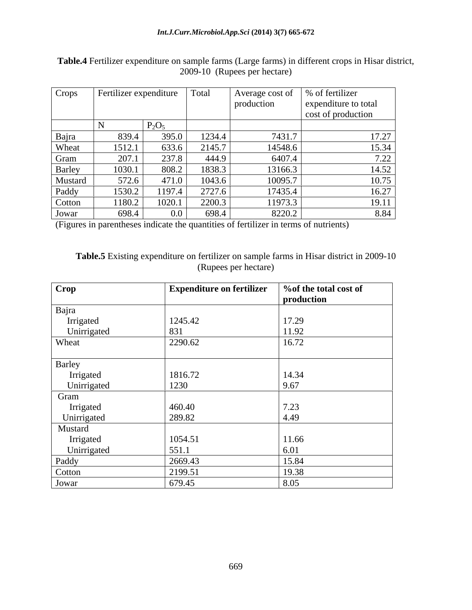| Crops   | Fertilizer expenditure |          | Total  | Average cost of | 6 of fertilizer      |
|---------|------------------------|----------|--------|-----------------|----------------------|
|         |                        |          |        | production      | expenditure to total |
|         |                        |          |        |                 | cost of production   |
|         |                        | $P_2O_5$ |        |                 |                      |
| Bajra   | 839.4                  | 395.0    | 1234.4 | 7431.7          | 17.27                |
| Wheat   | 1512.1                 | 633.6    | 2145.7 | 14548.6         | 15.34                |
| Gram    | 207.1                  | 237.8    | 444.9  | 6407.4          | 7.22                 |
| Barley  | 1030.1                 | 808.2    | 1838.3 | 13166.3         | 14.52                |
| Mustard | 572.6                  | 471.0    | 1043.6 | 10095.7         | 10.75                |
| Paddy   | 1530.2                 | 1197.4   | 2727.6 | 17435.4         | 16.27                |
| Cotton  | 1180.2                 | 1020.1   | 2200.3 | 11973.3         | 19.11                |
| Jowar   | 698.4                  | $0.0\,$  | 698.4  | 8220.2          | 8.84                 |

**Table.4** Fertilizer expenditure on sample farms (Large farms) in different crops in Hisar district, 2009-10 (Rupees per hectare)

(Figures in parentheses indicate the quantities of fertilizer in terms of nutrients)

| Table.5 Existing expenditure on fertilizer on sample farms in Hisar district in 2009-10 |  |
|-----------------------------------------------------------------------------------------|--|
| Rupees per hectare,<br>1.100                                                            |  |

| Crop        | <b>Expenditure on fertilizer</b> | % % % of the total cost of |
|-------------|----------------------------------|----------------------------|
|             |                                  | production                 |
| Bajra       |                                  |                            |
| Irrigated   | 1245.42                          | 17.29                      |
| Unirrigated | 831                              | 11.92                      |
| Wheat       | 2290.62                          | 16.72                      |
| Barley      |                                  |                            |
| Irrigated   | 1816.72                          | 14.34                      |
| Unirrigated | 1230                             | 9.67                       |
| Gram        |                                  |                            |
| Irrigated   | 460.40                           | 7.23                       |
| Unirrigated | 289.82                           | 4.49                       |
| Mustard     |                                  |                            |
| Irrigated   | 1054.51                          | 11.66                      |
| Unirrigated | 551.1                            | 6.01                       |
| Paddy       | 2669.43                          | 15.84                      |
| Cotton      | 2199.51                          | 19.38                      |
| Jowar       | 679.45                           | 8.05                       |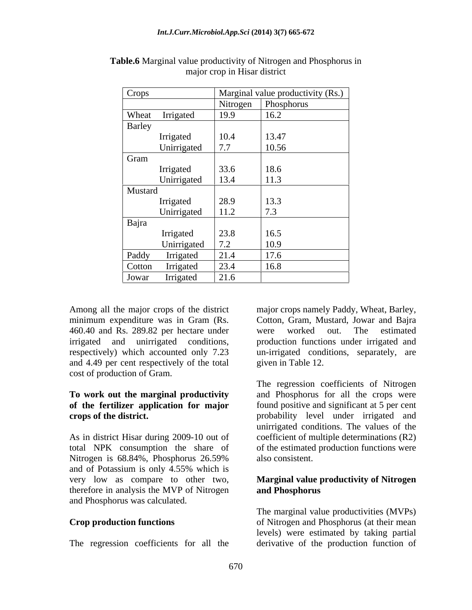| Crops   |                          |                  | Marginal value productivity (Rs.) |
|---------|--------------------------|------------------|-----------------------------------|
|         |                          |                  | Nitrogen Phosphorus               |
| Wheat   | Irrigated                | 19.9             | 16.2                              |
| Barley  |                          |                  |                                   |
|         | Irrigated                | 10.4             | 13.47                             |
|         | Unirrigated              | 7.7              | 10.56                             |
| Gram    |                          |                  |                                   |
|         | Irrigated<br>Unirrigated | $33.6$<br>$13.4$ | 18.6                              |
|         |                          |                  | 11.3                              |
| Mustard |                          |                  |                                   |
|         |                          | 28.9             | 13.3                              |
|         | Irrigated<br>Unirrigated | 11.2             | 7.3                               |
| Bajra   |                          |                  |                                   |
|         | Irrigated                | 23.8             | 16.5                              |
|         | Unirrigated              | 7.2              | 10.9                              |
| Paddy   | Irrigated                | 21.4             | 17.6                              |
| Cotton  | Irrigated                | 23.4             | 16.8                              |
| Jowar   | Irrigated                | 21.6             |                                   |

**Table.6** Marginal value productivity of Nitrogen and Phosphorus in major crop in Hisar district

minimum expenditure was in Gram (Rs. 460.40 and Rs. 289.82 per hectare under were worked out. The estimated respectively) which accounted only 7.23 and 4.49 per cent respectively of the total cost of production of Gram.

and of Potassium is only 4.55% which is very low as compare to other two, **Marginal value productivity of Nitrogen** therefore in analysis the MVP of Nitrogen and Phosphorus and Phosphorus was calculated.

The regression coefficients for all the

Among all the major crops of the district major crops namely Paddy, Wheat, Barley, irrigated and unirrigated conditions, production functions under irrigated and major crops namely Paddy, Wheat, Barley, Cotton, Gram, Mustard, Jowar and Bajra were worked out. The estimated un-irrigated conditions, separately, are given in Table 12.

**To work out the marginal productivity** and Phosphorus for all the crops were **of the fertilizer application for major** found positive and significant at 5 per cent **crops of the district.** The probability level under irrigated and probability level under irrigated and As in district Hisar during 2009-10 out of coefficient of multiple determinations (R2) total NPK consumption the share of of the estimated production functions were Nitrogen is 68.84%, Phosphorus 26.59% The regression coefficients of Nitrogen unirrigated conditions. The values of the also consistent.

# **and Phosphorus**

**Crop production functions** of Nitrogen and Phosphorus (at their mean The marginal value productivities (MVPs) levels) were estimated by taking partial derivative of the production function of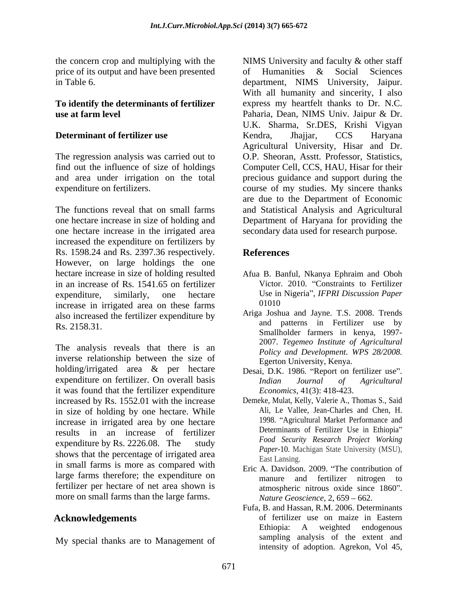price of its output and have been presented of Humanities & Social Sciences

The regression analysis was carried out to

The functions reveal that on small farms and Statistical Analysis and Agricultural one hectare increase in size of holding and Department of Haryana for providing the one hectare increase in the irrigated area increased the expenditure on fertilizers by Rs. 1598.24 and Rs. 2397.36 respectively. However, on large holdings the one hectare increase in size of holding resulted Afua B. Banful, Nkanya Ephraim and Oboh in an increase of Rs. 1541.65 on fertilizer expenditure, similarly, one hectare Use in Nigeria", *IFPRI Discussion Paper* increase in irrigated area on these farms also increased the fertilizer expenditure by

The analysis reveals that there is an inverse relationship between the size of holding/irrigated area & per hectare expenditure on fertilizer. On overall basis *Indian Journal of Agricultural* it was found that the fertilizer expenditure increased by Rs. 1552.01 with the increase in size of holding by one hectare. While increase in irrigated area by one hectare results in an increase of fertilizer expenditure by Rs. 2226.08. The study shows that the percentage of irrigated area Fast Lansing. in small farms is more as compared with large farms therefore; the expenditure on manure and fertilizer nitrogen to fertilizer per hectare of net area shown is more on small farms than the large farms.

My special thanks are to Management of

the concern crop and multiplying with the NIMS University and faculty & other staff in Table 6. department, NIMS University, Jaipur. **To identify the determinants of fertilizer**  express my heartfelt thanks to Dr. N.C. **use at farm level** Paharia, Dean, NIMS Univ. Jaipur & Dr. **Determinant of fertilizer use Sendra Example 1 Example 1 EXAMPLE 1 EXAMPLE 1 EXAMPLE 1 EXAMPLE 1 EXAMPLE 1 EXAMPLE 1 EXAMPLE 1 EXAMPLE 1 EXAMPLE 1 EXAMPLE 1 EXAMPLE 1 EXAMPLE 1 EXAMPLE 1** find out the influence of size of holdings Computer Cell, CCS, HAU, Hisar for their and area under irrigation on the total precious guidance and support during the expenditure on fertilizers. course of my studies. My sincere thanks of Humanities & Social Sciences With all humanity and sincerity, I also U.K. Sharma, Sr.DES, Krishi Vigyan Kendra, Jhajjar, CCS Haryana Agricultural University, Hisar and Dr. O.P. Sheoran, Asstt. Professor, Statistics, are due to the Department of Economic secondary data used for research purpose.

# **References**

- Afua B. Banful, Nkanya Ephraim and Oboh Victor. 2010. "Constraints to Fertilizer 01010
- Rs. 2158.31. Smallholder farmers in kenya, 1997- Ariga Joshua and Jayne. T.S. 2008. Trends and patterns in Fertilizer use by 2007. *Tegemeo Institute of Agricultural Policy and Development. WPS 28/2008.* Egerton University, Kenya.
	- Desai, D.K. 1986. "Report on fertilizer use". *Indian Journal of Agricultural Economics*, 41(3): 418-423.
	- Demeke, Mulat, Kelly, Valerie A., Thomas S., Said Ali, Le Vallee, Jean-Charles and Chen, H. 1998. "Agricultural Market Performance and Determinants of Fertilizer Use in Ethiopia *Food Security Research Project Working Paper*-10. Machigan State University (MSU), East Lansing.
	- Eric A. Davidson. 2009. "The contribution of manure and fertilizer nitrogen atmospheric nitrous oxide since 1860". *Nature Geoscience, 2, 659 – 662.*
- **Acknowledgements** of fertilizer use on maize in Eastern Fufa, B. and Hassan, R.M. 2006. Determinants Ethiopia: A weighted endogenous sampling analysis of the extent and intensity of adoption. Agrekon, Vol 45,